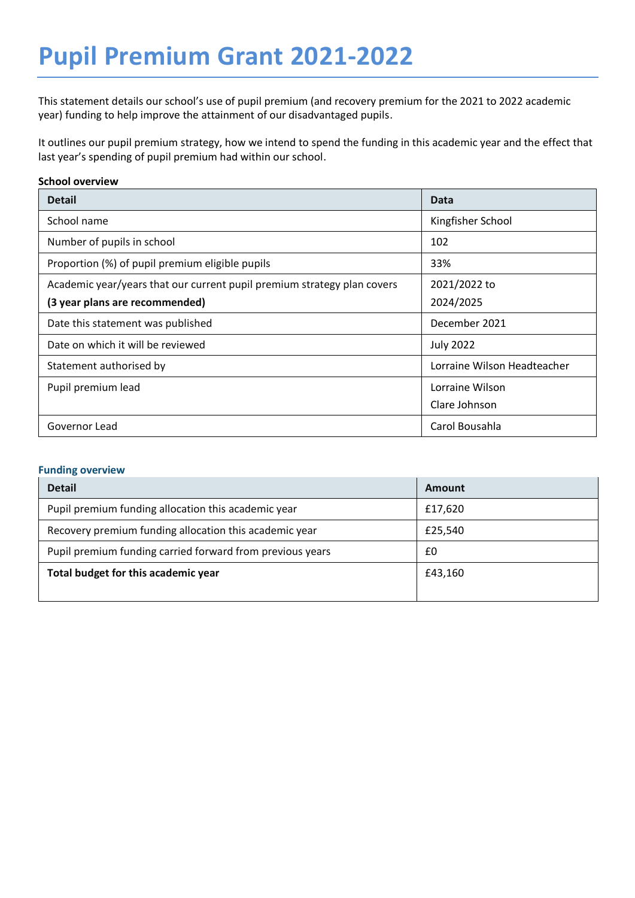# **Pupil Premium Grant 2021-2022**

This statement details our school's use of pupil premium (and recovery premium for the 2021 to 2022 academic year) funding to help improve the attainment of our disadvantaged pupils.

It outlines our pupil premium strategy, how we intend to spend the funding in this academic year and the effect that last year's spending of pupil premium had within our school.

### **School overview**

| <b>Detail</b>                                                           | Data                        |
|-------------------------------------------------------------------------|-----------------------------|
| School name                                                             | Kingfisher School           |
| Number of pupils in school                                              | 102                         |
| Proportion (%) of pupil premium eligible pupils                         | 33%                         |
| Academic year/years that our current pupil premium strategy plan covers | 2021/2022 to                |
| (3 year plans are recommended)                                          | 2024/2025                   |
| Date this statement was published                                       | December 2021               |
| Date on which it will be reviewed                                       | <b>July 2022</b>            |
| Statement authorised by                                                 | Lorraine Wilson Headteacher |
| Pupil premium lead                                                      | Lorraine Wilson             |
|                                                                         | Clare Johnson               |
| Governor Lead                                                           | Carol Bousahla              |

#### **Funding overview**

| <b>Detail</b>                                             | Amount  |
|-----------------------------------------------------------|---------|
| Pupil premium funding allocation this academic year       | £17,620 |
| Recovery premium funding allocation this academic year    | £25,540 |
| Pupil premium funding carried forward from previous years | £0      |
| Total budget for this academic year                       | £43,160 |
|                                                           |         |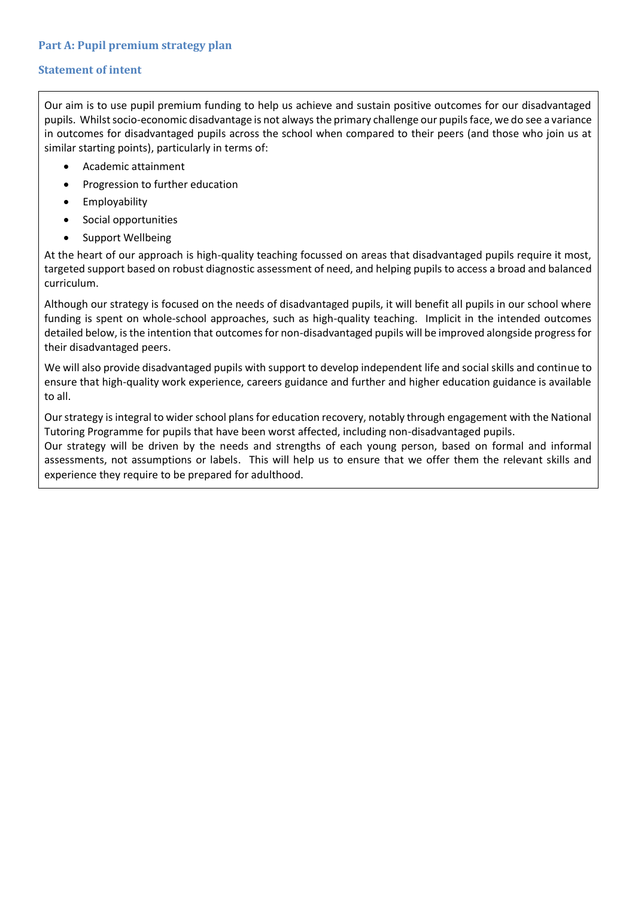### **Statement of intent**

Our aim is to use pupil premium funding to help us achieve and sustain positive outcomes for our disadvantaged pupils. Whilst socio-economic disadvantage is not always the primary challenge our pupils face, we do see a variance in outcomes for disadvantaged pupils across the school when compared to their peers (and those who join us at similar starting points), particularly in terms of:

- Academic attainment
- Progression to further education
- Employability
- Social opportunities
- Support Wellbeing

At the heart of our approach is high-quality teaching focussed on areas that disadvantaged pupils require it most, targeted support based on robust diagnostic assessment of need, and helping pupils to access a broad and balanced curriculum.

Although our strategy is focused on the needs of disadvantaged pupils, it will benefit all pupils in our school where funding is spent on whole-school approaches, such as high-quality teaching. Implicit in the intended outcomes detailed below, is the intention that outcomes for non-disadvantaged pupils will be improved alongside progress for their disadvantaged peers.

We will also provide disadvantaged pupils with support to develop independent life and social skills and continue to ensure that high-quality work experience, careers guidance and further and higher education guidance is available to all.

Our strategy is integral to wider school plans for education recovery, notably through engagement with the National Tutoring Programme for pupils that have been worst affected, including non-disadvantaged pupils.

Our strategy will be driven by the needs and strengths of each young person, based on formal and informal assessments, not assumptions or labels. This will help us to ensure that we offer them the relevant skills and experience they require to be prepared for adulthood.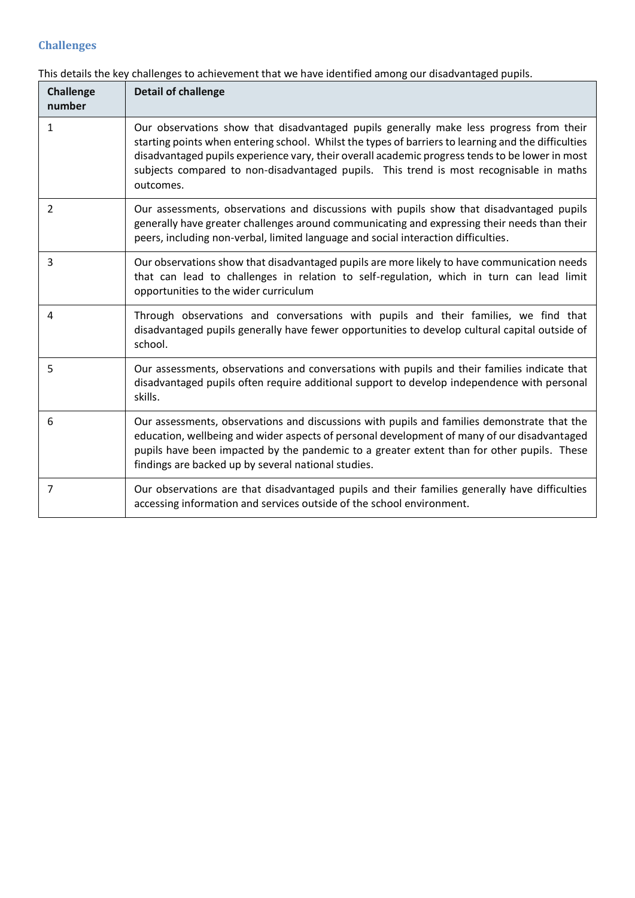### **Challenges**

| <b>Challenge</b><br>number | <b>Detail of challenge</b>                                                                                                                                                                                                                                                                                                                                                                                |
|----------------------------|-----------------------------------------------------------------------------------------------------------------------------------------------------------------------------------------------------------------------------------------------------------------------------------------------------------------------------------------------------------------------------------------------------------|
| $\mathbf{1}$               | Our observations show that disadvantaged pupils generally make less progress from their<br>starting points when entering school. Whilst the types of barriers to learning and the difficulties<br>disadvantaged pupils experience vary, their overall academic progress tends to be lower in most<br>subjects compared to non-disadvantaged pupils. This trend is most recognisable in maths<br>outcomes. |
| $\overline{2}$             | Our assessments, observations and discussions with pupils show that disadvantaged pupils<br>generally have greater challenges around communicating and expressing their needs than their<br>peers, including non-verbal, limited language and social interaction difficulties.                                                                                                                            |
| 3                          | Our observations show that disadvantaged pupils are more likely to have communication needs<br>that can lead to challenges in relation to self-regulation, which in turn can lead limit<br>opportunities to the wider curriculum                                                                                                                                                                          |
| 4                          | Through observations and conversations with pupils and their families, we find that<br>disadvantaged pupils generally have fewer opportunities to develop cultural capital outside of<br>school.                                                                                                                                                                                                          |
| 5                          | Our assessments, observations and conversations with pupils and their families indicate that<br>disadvantaged pupils often require additional support to develop independence with personal<br>skills.                                                                                                                                                                                                    |
| 6                          | Our assessments, observations and discussions with pupils and families demonstrate that the<br>education, wellbeing and wider aspects of personal development of many of our disadvantaged<br>pupils have been impacted by the pandemic to a greater extent than for other pupils. These<br>findings are backed up by several national studies.                                                           |
| 7                          | Our observations are that disadvantaged pupils and their families generally have difficulties<br>accessing information and services outside of the school environment.                                                                                                                                                                                                                                    |

This details the key challenges to achievement that we have identified among our disadvantaged pupils.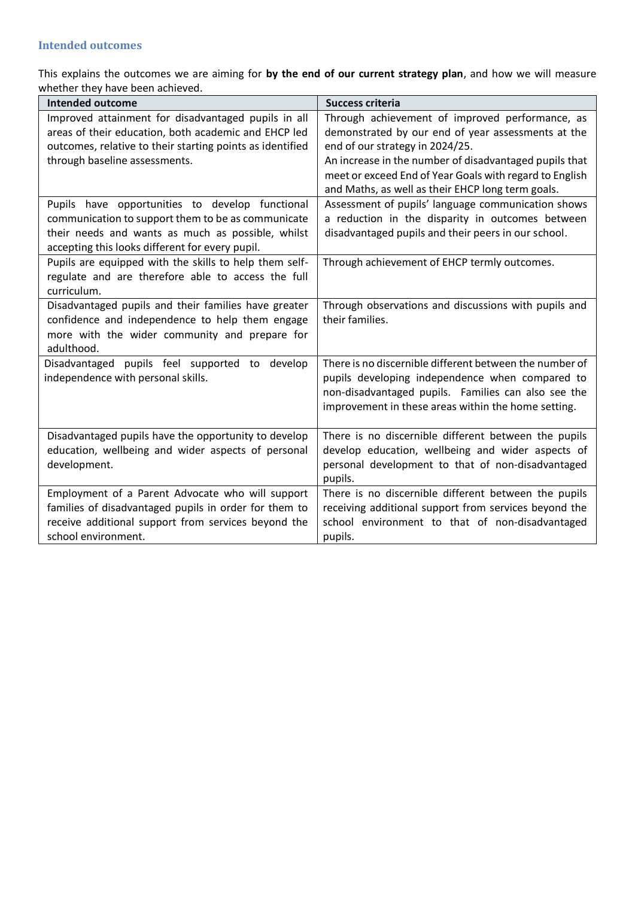This explains the outcomes we are aiming for **by the end of our current strategy plan**, and how we will measure whether they have been achieved.

| <b>Intended outcome</b>                                                                                                                                                                                       | <b>Success criteria</b>                                                                                                                                                                                                                                                                                            |
|---------------------------------------------------------------------------------------------------------------------------------------------------------------------------------------------------------------|--------------------------------------------------------------------------------------------------------------------------------------------------------------------------------------------------------------------------------------------------------------------------------------------------------------------|
| Improved attainment for disadvantaged pupils in all<br>areas of their education, both academic and EHCP led<br>outcomes, relative to their starting points as identified<br>through baseline assessments.     | Through achievement of improved performance, as<br>demonstrated by our end of year assessments at the<br>end of our strategy in 2024/25.<br>An increase in the number of disadvantaged pupils that<br>meet or exceed End of Year Goals with regard to English<br>and Maths, as well as their EHCP long term goals. |
| Pupils have opportunities to develop functional<br>communication to support them to be as communicate<br>their needs and wants as much as possible, whilst<br>accepting this looks different for every pupil. | Assessment of pupils' language communication shows<br>a reduction in the disparity in outcomes between<br>disadvantaged pupils and their peers in our school.                                                                                                                                                      |
| Pupils are equipped with the skills to help them self-<br>regulate and are therefore able to access the full<br>curriculum.                                                                                   | Through achievement of EHCP termly outcomes.                                                                                                                                                                                                                                                                       |
| Disadvantaged pupils and their families have greater<br>confidence and independence to help them engage<br>more with the wider community and prepare for<br>adulthood.                                        | Through observations and discussions with pupils and<br>their families.                                                                                                                                                                                                                                            |
| Disadvantaged pupils feel supported to develop<br>independence with personal skills.                                                                                                                          | There is no discernible different between the number of<br>pupils developing independence when compared to<br>non-disadvantaged pupils. Families can also see the<br>improvement in these areas within the home setting.                                                                                           |
| Disadvantaged pupils have the opportunity to develop<br>education, wellbeing and wider aspects of personal<br>development.                                                                                    | There is no discernible different between the pupils<br>develop education, wellbeing and wider aspects of<br>personal development to that of non-disadvantaged<br>pupils.                                                                                                                                          |
| Employment of a Parent Advocate who will support<br>families of disadvantaged pupils in order for them to<br>receive additional support from services beyond the<br>school environment.                       | There is no discernible different between the pupils<br>receiving additional support from services beyond the<br>school environment to that of non-disadvantaged<br>pupils.                                                                                                                                        |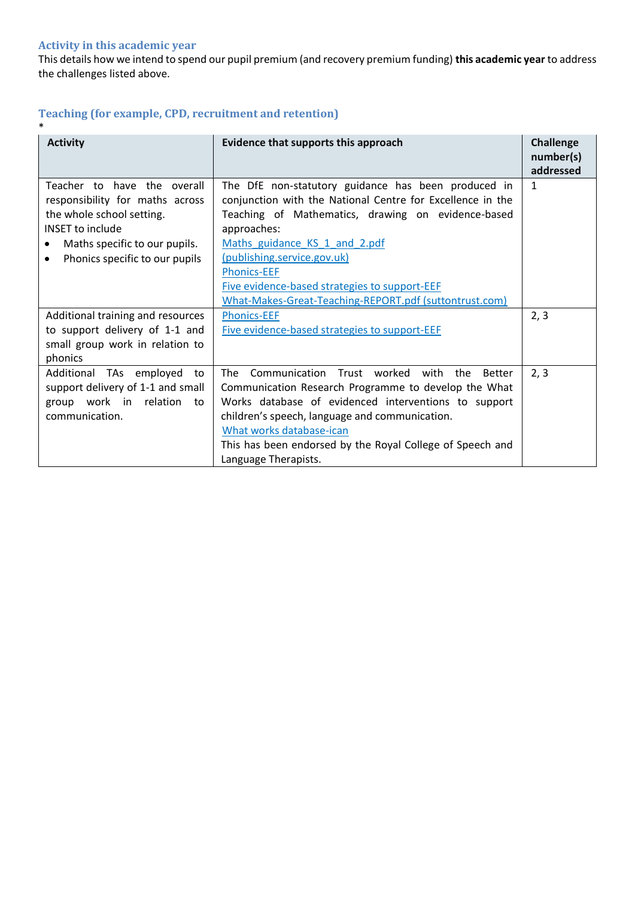### **Activity in this academic year**

This details how we intend to spend our pupil premium (and recovery premium funding) **this academic year** to address the challenges listed above.

# **Teaching (for example, CPD, recruitment and retention)**

| $\ast$                                                                                                                                                                                                 |                                                                                                                                                                                                                                                                                                                                                                                         |                        |
|--------------------------------------------------------------------------------------------------------------------------------------------------------------------------------------------------------|-----------------------------------------------------------------------------------------------------------------------------------------------------------------------------------------------------------------------------------------------------------------------------------------------------------------------------------------------------------------------------------------|------------------------|
| <b>Activity</b>                                                                                                                                                                                        | Evidence that supports this approach                                                                                                                                                                                                                                                                                                                                                    | <b>Challenge</b>       |
|                                                                                                                                                                                                        |                                                                                                                                                                                                                                                                                                                                                                                         | number(s)<br>addressed |
| Teacher to have the overall<br>responsibility for maths across<br>the whole school setting.<br><b>INSET to include</b><br>Maths specific to our pupils.<br>Phonics specific to our pupils<br>$\bullet$ | The DfE non-statutory guidance has been produced in<br>conjunction with the National Centre for Excellence in the<br>Teaching of Mathematics, drawing on evidence-based<br>approaches:<br>Maths guidance KS 1 and 2.pdf<br>(publishing.service.gov.uk)<br><b>Phonics-EEF</b><br>Five evidence-based strategies to support-EEF<br>What-Makes-Great-Teaching-REPORT.pdf (suttontrust.com) | 1                      |
| Additional training and resources                                                                                                                                                                      | <b>Phonics-EEF</b>                                                                                                                                                                                                                                                                                                                                                                      | 2, 3                   |
| to support delivery of 1-1 and                                                                                                                                                                         | Five evidence-based strategies to support-EEF                                                                                                                                                                                                                                                                                                                                           |                        |
| small group work in relation to<br>phonics                                                                                                                                                             |                                                                                                                                                                                                                                                                                                                                                                                         |                        |
| Additional TAs employed<br>to<br>support delivery of 1-1 and small<br>group work in relation<br>to<br>communication.                                                                                   | Communication Trust worked with<br>The<br>the<br><b>Better</b><br>Communication Research Programme to develop the What<br>Works database of evidenced interventions to support<br>children's speech, language and communication.<br>What works database-ican<br>This has been endorsed by the Royal College of Speech and<br>Language Therapists.                                       | 2, 3                   |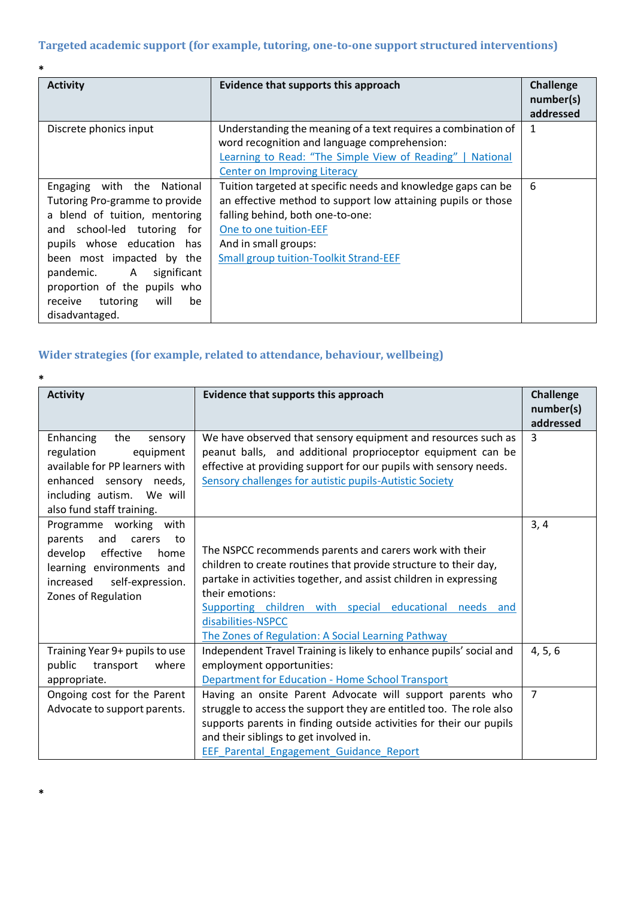| *                                                                                                                                                                                                                                                                                                            |                                                                                                                                                                                                                                                                     |                                            |
|--------------------------------------------------------------------------------------------------------------------------------------------------------------------------------------------------------------------------------------------------------------------------------------------------------------|---------------------------------------------------------------------------------------------------------------------------------------------------------------------------------------------------------------------------------------------------------------------|--------------------------------------------|
| <b>Activity</b>                                                                                                                                                                                                                                                                                              | Evidence that supports this approach                                                                                                                                                                                                                                | <b>Challenge</b><br>number(s)<br>addressed |
| Discrete phonics input                                                                                                                                                                                                                                                                                       | Understanding the meaning of a text requires a combination of<br>word recognition and language comprehension:<br>Learning to Read: "The Simple View of Reading"   National<br><b>Center on Improving Literacy</b>                                                   | 1                                          |
| Engaging with the National<br>Tutoring Pro-gramme to provide<br>a blend of tuition, mentoring<br>and school-led tutoring for<br>pupils whose education<br>has<br>been most impacted by the<br>pandemic. A significant<br>proportion of the pupils who<br>tutoring<br>will<br>be<br>receive<br>disadvantaged. | Tuition targeted at specific needs and knowledge gaps can be<br>an effective method to support low attaining pupils or those<br>falling behind, both one-to-one:<br>One to one tuition-EEF<br>And in small groups:<br><b>Small group tuition-Toolkit Strand-EEF</b> | 6                                          |

## **Wider strategies (for example, related to attendance, behaviour, wellbeing)**

**\*Total budgeted cost: £108,070**

| *                              |                                                                     |                  |
|--------------------------------|---------------------------------------------------------------------|------------------|
| <b>Activity</b>                | Evidence that supports this approach                                | <b>Challenge</b> |
|                                |                                                                     | number(s)        |
|                                |                                                                     | addressed        |
| Enhancing<br>the<br>sensory    | We have observed that sensory equipment and resources such as       | 3                |
| regulation<br>equipment        | peanut balls, and additional proprioceptor equipment can be         |                  |
| available for PP learners with | effective at providing support for our pupils with sensory needs.   |                  |
| enhanced sensory needs,        | Sensory challenges for autistic pupils-Autistic Society             |                  |
| including autism. We will      |                                                                     |                  |
| also fund staff training.      |                                                                     |                  |
| Programme working with         |                                                                     | 3, 4             |
| and<br>parents<br>carers<br>to |                                                                     |                  |
| develop effective<br>home      | The NSPCC recommends parents and carers work with their             |                  |
| learning environments and      | children to create routines that provide structure to their day,    |                  |
| increased self-expression.     | partake in activities together, and assist children in expressing   |                  |
| Zones of Regulation            | their emotions:                                                     |                  |
|                                | Supporting children with special educational needs and              |                  |
|                                | disabilities-NSPCC                                                  |                  |
|                                | The Zones of Regulation: A Social Learning Pathway                  |                  |
| Training Year 9+ pupils to use | Independent Travel Training is likely to enhance pupils' social and | 4, 5, 6          |
| public<br>transport<br>where   | employment opportunities:                                           |                  |
| appropriate.                   | Department for Education - Home School Transport                    |                  |
| Ongoing cost for the Parent    | Having an onsite Parent Advocate will support parents who           | $\overline{7}$   |
| Advocate to support parents.   | struggle to access the support they are entitled too. The role also |                  |
|                                | supports parents in finding outside activities for their our pupils |                  |
|                                | and their siblings to get involved in.                              |                  |
|                                | EEF Parental Engagement Guidance Report                             |                  |